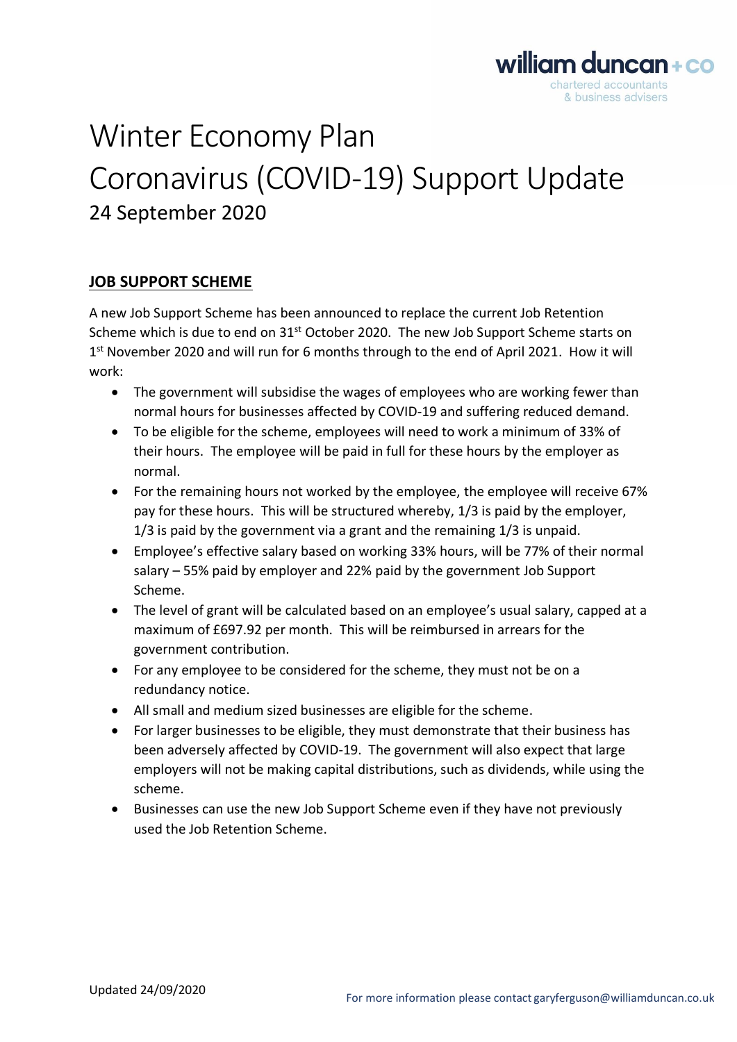# Winter Economy Plan Coronavirus (COVID-19) Support Update 24 September 2020

## **JOB SUPPORT SCHEME**

A new Job Support Scheme has been announced to replace the current Job Retention Scheme which is due to end on 31<sup>st</sup> October 2020. The new Job Support Scheme starts on 1<sup>st</sup> November 2020 and will run for 6 months through to the end of April 2021. How it will work:

- The government will subsidise the wages of employees who are working fewer than normal hours for businesses affected by COVID-19 and suffering reduced demand.
- To be eligible for the scheme, employees will need to work a minimum of 33% of their hours. The employee will be paid in full for these hours by the employer as normal.
- For the remaining hours not worked by the employee, the employee will receive 67% pay for these hours. This will be structured whereby, 1/3 is paid by the employer, 1/3 is paid by the government via a grant and the remaining 1/3 is unpaid.
- Employee's effective salary based on working 33% hours, will be 77% of their normal salary – 55% paid by employer and 22% paid by the government Job Support Scheme.
- The level of grant will be calculated based on an employee's usual salary, capped at a maximum of £697.92 per month. This will be reimbursed in arrears for the government contribution.
- For any employee to be considered for the scheme, they must not be on a redundancy notice.
- All small and medium sized businesses are eligible for the scheme.
- For larger businesses to be eligible, they must demonstrate that their business has been adversely affected by COVID-19. The government will also expect that large employers will not be making capital distributions, such as dividends, while using the scheme.
- Businesses can use the new Job Support Scheme even if they have not previously used the Job Retention Scheme.

william duncan+co chartered accountants & business advisers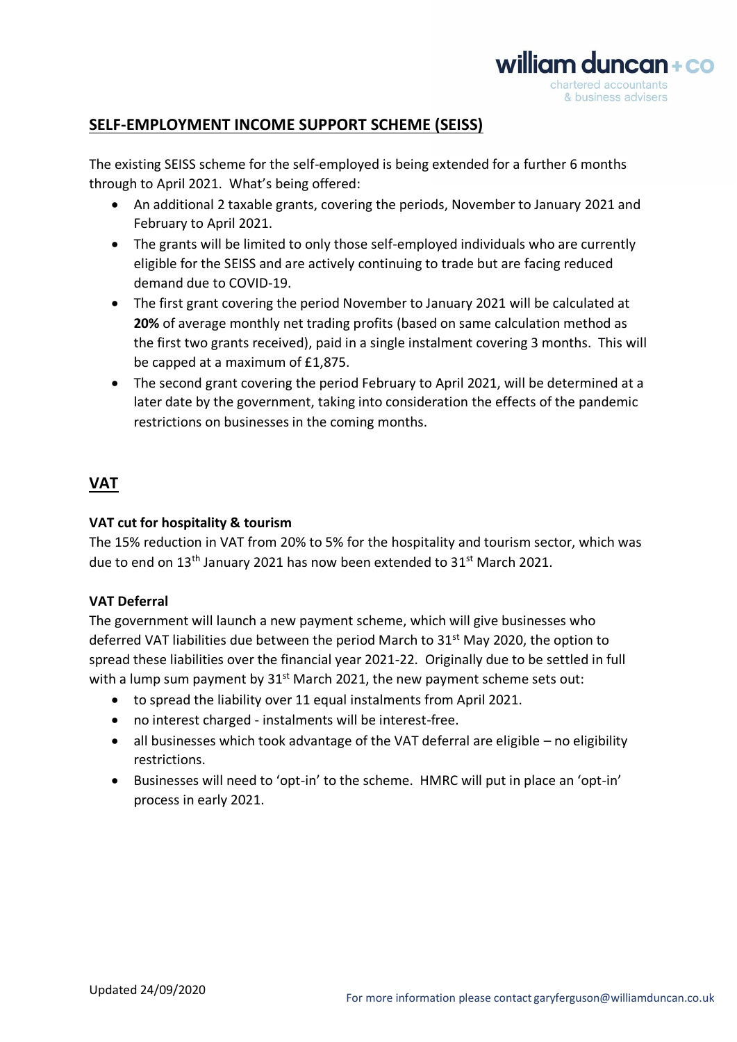

# **SELF-EMPLOYMENT INCOME SUPPORT SCHEME (SEISS)**

The existing SEISS scheme for the self-employed is being extended for a further 6 months through to April 2021. What's being offered:

- An additional 2 taxable grants, covering the periods, November to January 2021 and February to April 2021.
- The grants will be limited to only those self-employed individuals who are currently eligible for the SEISS and are actively continuing to trade but are facing reduced demand due to COVID-19.
- The first grant covering the period November to January 2021 will be calculated at **20%** of average monthly net trading profits (based on same calculation method as the first two grants received), paid in a single instalment covering 3 months. This will be capped at a maximum of £1,875.
- The second grant covering the period February to April 2021, will be determined at a later date by the government, taking into consideration the effects of the pandemic restrictions on businesses in the coming months.

# **VAT**

### **VAT cut for hospitality & tourism**

The 15% reduction in VAT from 20% to 5% for the hospitality and tourism sector, which was due to end on 13<sup>th</sup> January 2021 has now been extended to 31<sup>st</sup> March 2021.

### **VAT Deferral**

The government will launch a new payment scheme, which will give businesses who deferred VAT liabilities due between the period March to 31<sup>st</sup> May 2020, the option to spread these liabilities over the financial year 2021-22. Originally due to be settled in full with a lump sum payment by  $31<sup>st</sup>$  March 2021, the new payment scheme sets out:

- to spread the liability over 11 equal instalments from April 2021.
- no interest charged instalments will be interest-free.
- all businesses which took advantage of the VAT deferral are eligible no eligibility restrictions.
- Businesses will need to 'opt-in' to the scheme. HMRC will put in place an 'opt-in' process in early 2021.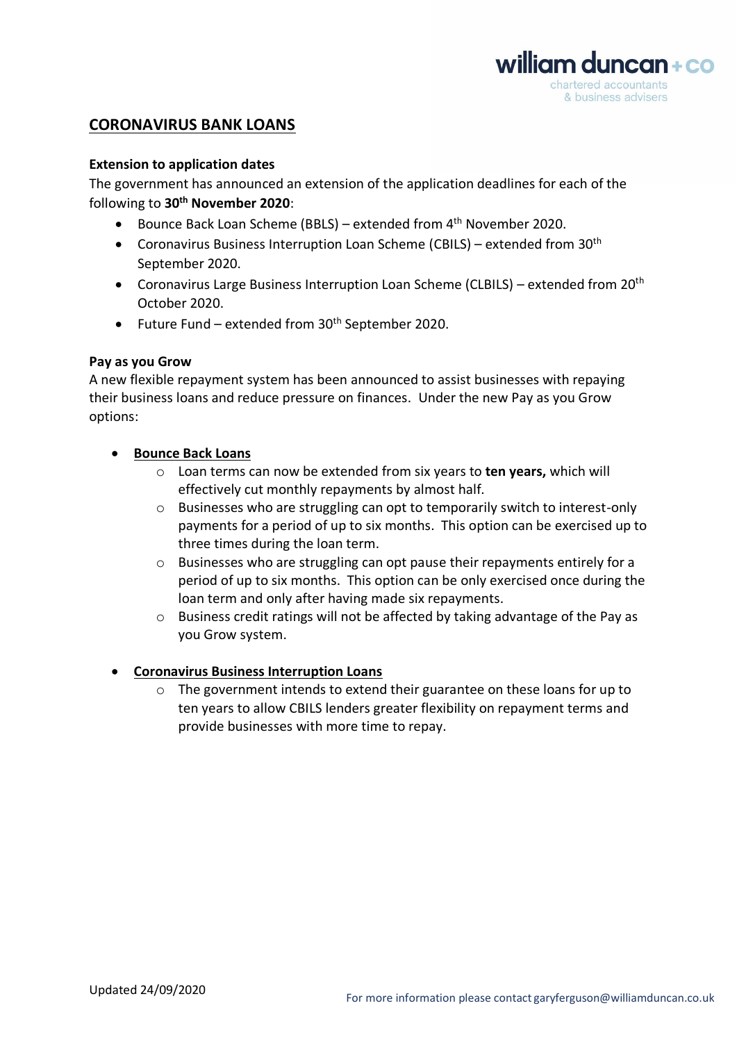

# **CORONAVIRUS BANK LOANS**

#### **Extension to application dates**

The government has announced an extension of the application deadlines for each of the following to **30th November 2020**:

- Bounce Back Loan Scheme (BBLS) extended from 4<sup>th</sup> November 2020.
- Coronavirus Business Interruption Loan Scheme (CBILS) extended from  $30<sup>th</sup>$ September 2020.
- Coronavirus Large Business Interruption Loan Scheme (CLBILS) extended from 20<sup>th</sup> October 2020.
- Future Fund extended from  $30<sup>th</sup>$  September 2020.

#### **Pay as you Grow**

A new flexible repayment system has been announced to assist businesses with repaying their business loans and reduce pressure on finances. Under the new Pay as you Grow options:

- **Bounce Back Loans**
	- o Loan terms can now be extended from six years to **ten years,** which will effectively cut monthly repayments by almost half.
	- o Businesses who are struggling can opt to temporarily switch to interest-only payments for a period of up to six months. This option can be exercised up to three times during the loan term.
	- $\circ$  Businesses who are struggling can opt pause their repayments entirely for a period of up to six months. This option can be only exercised once during the loan term and only after having made six repayments.
	- $\circ$  Business credit ratings will not be affected by taking advantage of the Pay as you Grow system.

### • **Coronavirus Business Interruption Loans**

 $\circ$  The government intends to extend their guarantee on these loans for up to ten years to allow CBILS lenders greater flexibility on repayment terms and provide businesses with more time to repay.